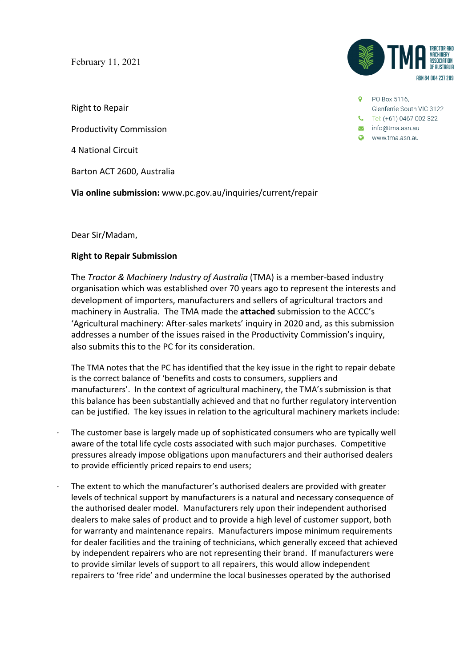February 11, 2021

Right to Repair

Productivity Commission

4 National Circuit

Barton ACT 2600, Australia

**Via online submission:** www.pc.gov.au/inquiries/current/repair

Dear Sir/Madam,

## **Right to Repair Submission**

The *Tractor & Machinery Industry of Australia* (TMA) is a member-based industry organisation which was established over 70 years ago to represent the interests and development of importers, manufacturers and sellers of agricultural tractors and machinery in Australia. The TMA made the **attached** submission to the ACCC's 'Agricultural machinery: After-sales markets' inquiry in 2020 and, as this submission addresses a number of the issues raised in the Productivity Commission's inquiry, also submits this to the PC for its consideration.

The TMA notes that the PC has identified that the key issue in the right to repair debate is the correct balance of 'benefits and costs to consumers, suppliers and manufacturers'. In the context of agricultural machinery, the TMA's submission is that this balance has been substantially achieved and that no further regulatory intervention can be justified. The key issues in relation to the agricultural machinery markets include:

- · The customer base is largely made up of sophisticated consumers who are typically well aware of the total life cycle costs associated with such major purchases. Competitive pressures already impose obligations upon manufacturers and their authorised dealers to provide efficiently priced repairs to end users;
- The extent to which the manufacturer's authorised dealers are provided with greater levels of technical support by manufacturers is a natural and necessary consequence of the authorised dealer model. Manufacturers rely upon their independent authorised dealers to make sales of product and to provide a high level of customer support, both for warranty and maintenance repairs. Manufacturers impose minimum requirements for dealer facilities and the training of technicians, which generally exceed that achieved by independent repairers who are not representing their brand. If manufacturers were to provide similar levels of support to all repairers, this would allow independent repairers to 'free ride' and undermine the local businesses operated by the authorised



**9** PO Box 5116. Glenferrie South VIC 3122  $\begin{bmatrix} \bullet \end{bmatrix}$  Tel: (+61) 0467 002 322  $\blacktriangleright$  info@tma.asn.au Www.tma.asn.au